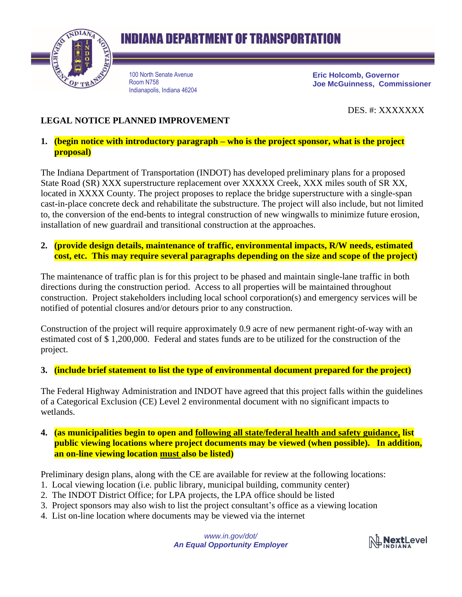

## **INDIANA DEPARTMENT OF TRANSPORTATION**

100 North Senate Avenue Room N758 Indianapolis, Indiana 46204 **Eric Holcomb, Governor Joe McGuinness, Commissioner**

DES. #: XXXXXXX

## **LEGAL NOTICE PLANNED IMPROVEMENT**

## **1. (begin notice with introductory paragraph – who is the project sponsor, what is the project proposal)**

The Indiana Department of Transportation (INDOT) has developed preliminary plans for a proposed State Road (SR) XXX superstructure replacement over XXXXX Creek, XXX miles south of SR XX, located in XXXX County. The project proposes to replace the bridge superstructure with a single-span cast-in-place concrete deck and rehabilitate the substructure. The project will also include, but not limited to, the conversion of the end-bents to integral construction of new wingwalls to minimize future erosion, installation of new guardrail and transitional construction at the approaches.

**2. (provide design details, maintenance of traffic, environmental impacts, R/W needs, estimated cost, etc. This may require several paragraphs depending on the size and scope of the project)**

The maintenance of traffic plan is for this project to be phased and maintain single-lane traffic in both directions during the construction period. Access to all properties will be maintained throughout construction. Project stakeholders including local school corporation(s) and emergency services will be notified of potential closures and/or detours prior to any construction.

Construction of the project will require approximately 0.9 acre of new permanent right-of-way with an estimated cost of \$ 1,200,000. Federal and states funds are to be utilized for the construction of the project.

**3. (include brief statement to list the type of environmental document prepared for the project)**

The Federal Highway Administration and INDOT have agreed that this project falls within the guidelines of a Categorical Exclusion (CE) Level 2 environmental document with no significant impacts to wetlands.

**4. (as municipalities begin to open and following all state/federal health and safety guidance, list public viewing locations where project documents may be viewed (when possible). In addition, an on-line viewing location must also be listed)**

Preliminary design plans, along with the CE are available for review at the following locations:

- 1. Local viewing location (i.e. public library, municipal building, community center)
- 2. The INDOT District Office; for LPA projects, the LPA office should be listed
- 3. Project sponsors may also wish to list the project consultant's office as a viewing location
- 4. List on-line location where documents may be viewed via the internet

*www.in.gov/dot/ An Equal Opportunity Employer*